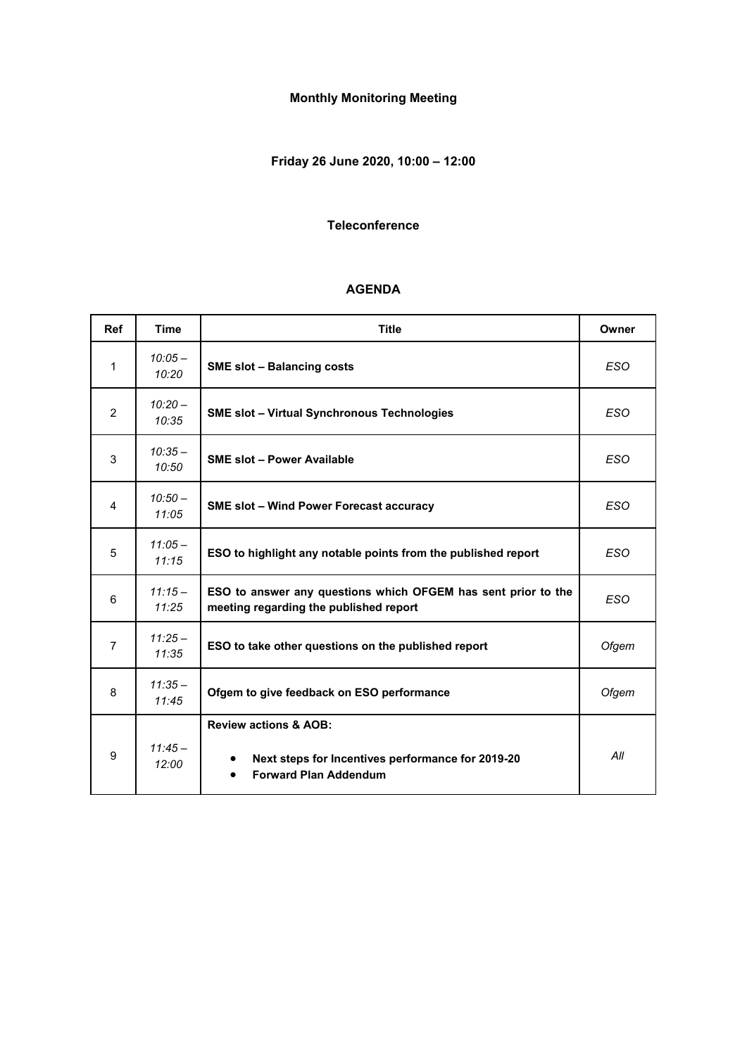# **Monthly Monitoring Meeting**

# **Friday 26 June 2020, 10:00 – 12:00**

#### **Teleconference**

#### **AGENDA**

| <b>Ref</b>   | <b>Time</b>        | <b>Title</b>                                                                                                          | Owner      |
|--------------|--------------------|-----------------------------------------------------------------------------------------------------------------------|------------|
| $\mathbf{1}$ | $10:05 -$<br>10:20 | <b>SME slot - Balancing costs</b>                                                                                     | <b>ESO</b> |
| 2            | $10:20 -$<br>10:35 | <b>SME slot - Virtual Synchronous Technologies</b>                                                                    | <b>ESO</b> |
| 3            | $10:35 -$<br>10:50 | <b>SME slot - Power Available</b>                                                                                     | <b>ESO</b> |
| 4            | $10:50-$<br>11:05  | <b>SME slot – Wind Power Forecast accuracy</b>                                                                        | <b>ESO</b> |
| 5            | $11:05-$<br>11:15  | ESO to highlight any notable points from the published report                                                         | <b>ESO</b> |
| 6            | $11:15-$<br>11:25  | ESO to answer any questions which OFGEM has sent prior to the<br>meeting regarding the published report               | <b>ESO</b> |
| 7            | $11:25-$<br>11:35  | ESO to take other questions on the published report                                                                   | Ofgem      |
| 8            | $11:35 -$<br>11:45 | Ofgem to give feedback on ESO performance                                                                             | Ofgem      |
| 9            | $11:45-$<br>12:00  | <b>Review actions &amp; AOB:</b><br>Next steps for Incentives performance for 2019-20<br><b>Forward Plan Addendum</b> | All        |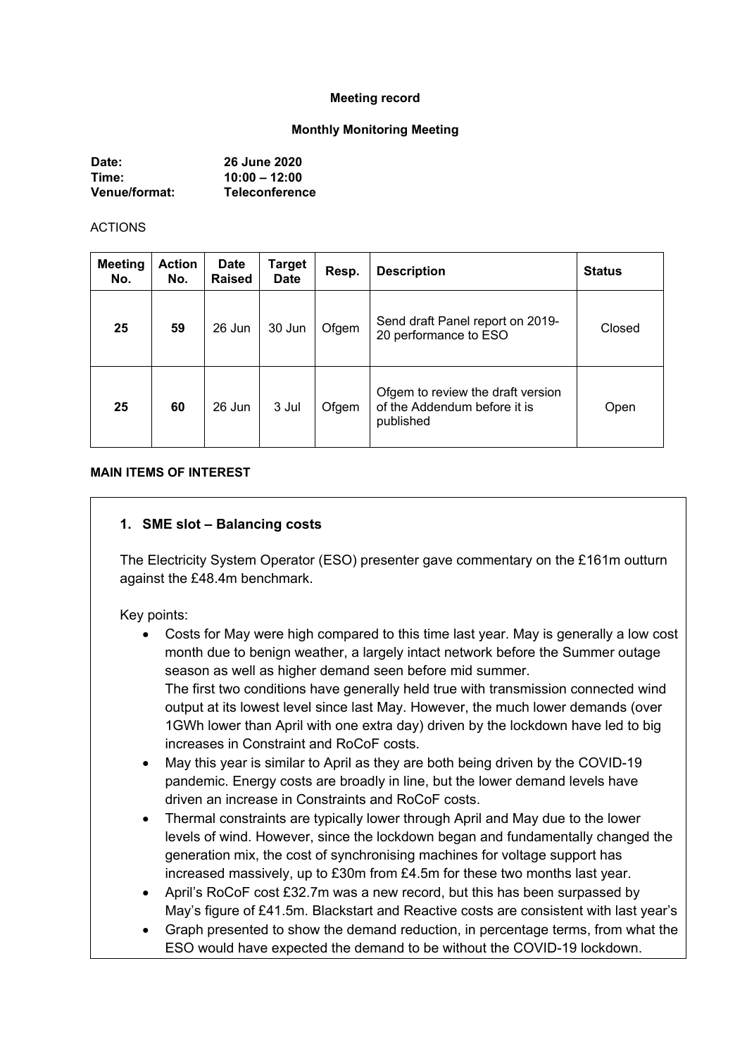#### **Meeting record**

#### **Monthly Monitoring Meeting**

| Date:                | <b>26 June 2020</b>   |
|----------------------|-----------------------|
| Time:                | $10:00 - 12:00$       |
| <b>Venue/format:</b> | <b>Teleconference</b> |

#### ACTIONS

| <b>Meeting</b><br>No. | <b>Action</b><br>No. | <b>Date</b><br><b>Raised</b> | Target<br><b>Date</b> | Resp. | <b>Description</b>                                                             | <b>Status</b> |
|-----------------------|----------------------|------------------------------|-----------------------|-------|--------------------------------------------------------------------------------|---------------|
| 25                    | 59                   | 26 Jun                       | 30 Jun                | Ofgem | Send draft Panel report on 2019-<br>20 performance to ESO                      | Closed        |
| 25                    | 60                   | 26 Jun                       | 3 Jul                 | Ofgem | Ofgem to review the draft version<br>of the Addendum before it is<br>published | Open          |

#### **MAIN ITEMS OF INTEREST**

#### **1. SME slot – Balancing costs**

The Electricity System Operator (ESO) presenter gave commentary on the £161m outturn against the £48.4m benchmark.

#### Key points:

- Costs for May were high compared to this time last year. May is generally a low cost month due to benign weather, a largely intact network before the Summer outage season as well as higher demand seen before mid summer. The first two conditions have generally held true with transmission connected wind output at its lowest level since last May. However, the much lower demands (over 1GWh lower than April with one extra day) driven by the lockdown have led to big increases in Constraint and RoCoF costs.
- May this year is similar to April as they are both being driven by the COVID-19 pandemic. Energy costs are broadly in line, but the lower demand levels have driven an increase in Constraints and RoCoF costs.
- Thermal constraints are typically lower through April and May due to the lower levels of wind. However, since the lockdown began and fundamentally changed the generation mix, the cost of synchronising machines for voltage support has increased massively, up to £30m from £4.5m for these two months last year.
- April's RoCoF cost £32.7m was a new record, but this has been surpassed by May's figure of £41.5m. Blackstart and Reactive costs are consistent with last year's
- Graph presented to show the demand reduction, in percentage terms, from what the ESO would have expected the demand to be without the COVID-19 lockdown.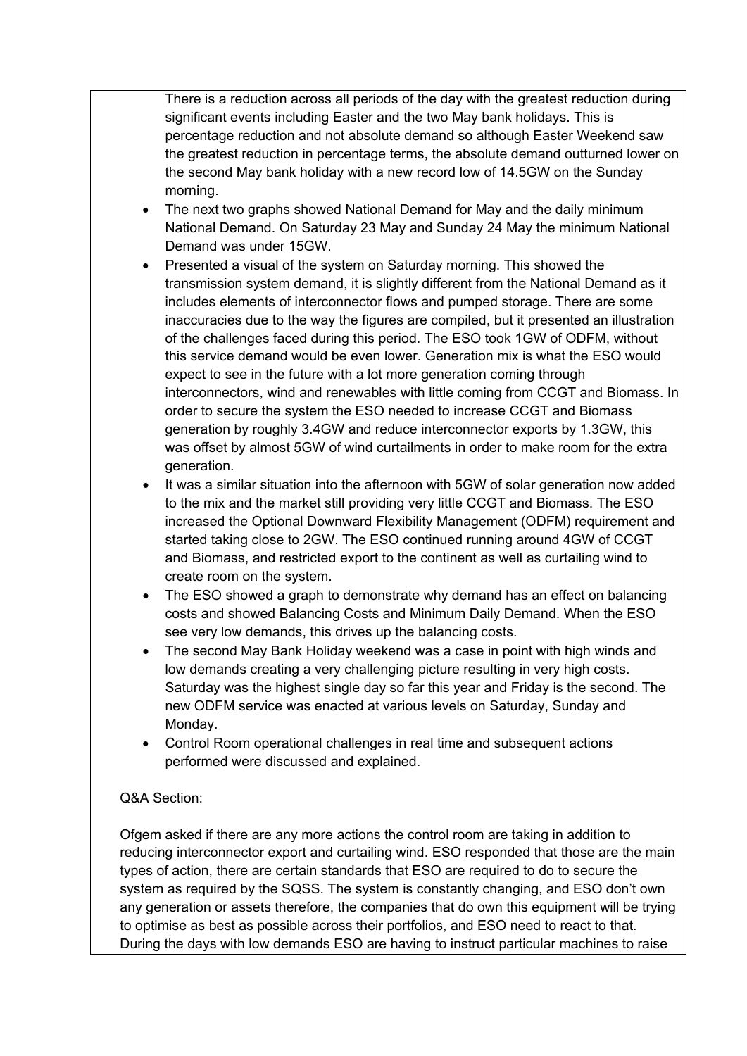There is a reduction across all periods of the day with the greatest reduction during significant events including Easter and the two May bank holidays. This is percentage reduction and not absolute demand so although Easter Weekend saw the greatest reduction in percentage terms, the absolute demand outturned lower on the second May bank holiday with a new record low of 14.5GW on the Sunday morning.

- The next two graphs showed National Demand for May and the daily minimum National Demand. On Saturday 23 May and Sunday 24 May the minimum National Demand was under 15GW.
- Presented a visual of the system on Saturday morning. This showed the transmission system demand, it is slightly different from the National Demand as it includes elements of interconnector flows and pumped storage. There are some inaccuracies due to the way the figures are compiled, but it presented an illustration of the challenges faced during this period. The ESO took 1GW of ODFM, without this service demand would be even lower. Generation mix is what the ESO would expect to see in the future with a lot more generation coming through interconnectors, wind and renewables with little coming from CCGT and Biomass. In order to secure the system the ESO needed to increase CCGT and Biomass generation by roughly 3.4GW and reduce interconnector exports by 1.3GW, this was offset by almost 5GW of wind curtailments in order to make room for the extra generation.
- It was a similar situation into the afternoon with 5GW of solar generation now added to the mix and the market still providing very little CCGT and Biomass. The ESO increased the Optional Downward Flexibility Management (ODFM) requirement and started taking close to 2GW. The ESO continued running around 4GW of CCGT and Biomass, and restricted export to the continent as well as curtailing wind to create room on the system.
- The ESO showed a graph to demonstrate why demand has an effect on balancing costs and showed Balancing Costs and Minimum Daily Demand. When the ESO see very low demands, this drives up the balancing costs.
- The second May Bank Holiday weekend was a case in point with high winds and low demands creating a very challenging picture resulting in very high costs. Saturday was the highest single day so far this year and Friday is the second. The new ODFM service was enacted at various levels on Saturday, Sunday and Monday.
- Control Room operational challenges in real time and subsequent actions performed were discussed and explained.

### Q&A Section:

Ofgem asked if there are any more actions the control room are taking in addition to reducing interconnector export and curtailing wind. ESO responded that those are the main types of action, there are certain standards that ESO are required to do to secure the system as required by the SQSS. The system is constantly changing, and ESO don't own any generation or assets therefore, the companies that do own this equipment will be trying to optimise as best as possible across their portfolios, and ESO need to react to that. During the days with low demands ESO are having to instruct particular machines to raise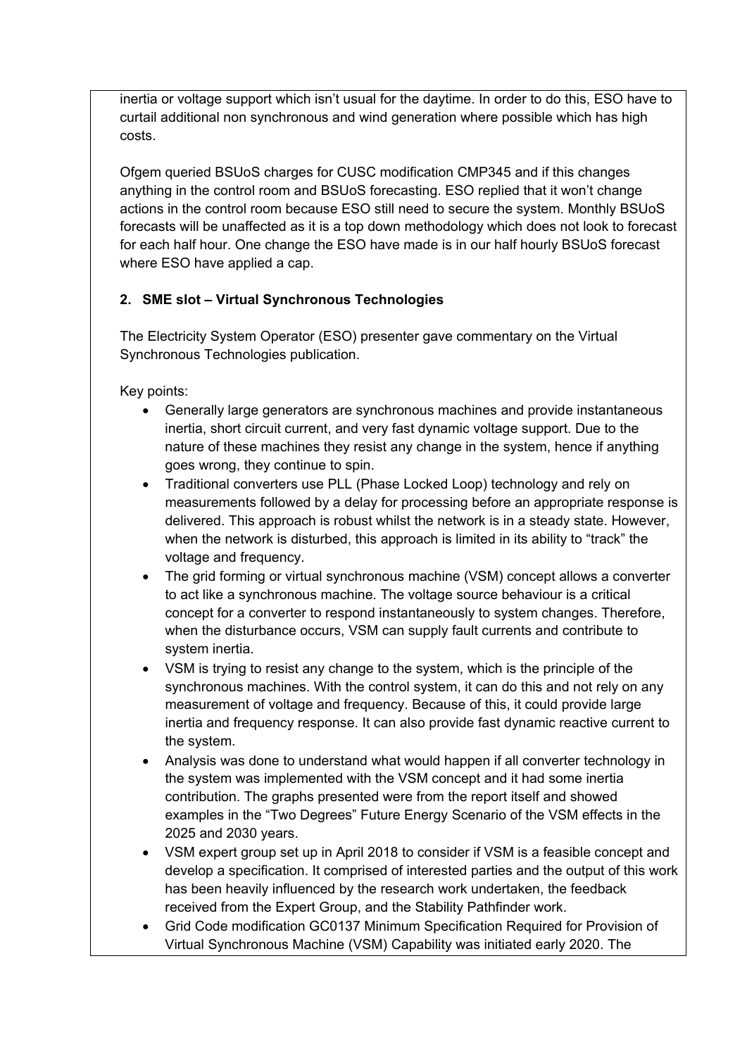inertia or voltage support which isn't usual for the daytime. In order to do this, ESO have to curtail additional non synchronous and wind generation where possible which has high costs.

Ofgem queried BSUoS charges for CUSC modification CMP345 and if this changes anything in the control room and BSUoS forecasting. ESO replied that it won't change actions in the control room because ESO still need to secure the system. Monthly BSUoS forecasts will be unaffected as it is a top down methodology which does not look to forecast for each half hour. One change the ESO have made is in our half hourly BSUoS forecast where ESO have applied a cap.

# **2. SME slot – Virtual Synchronous Technologies**

The Electricity System Operator (ESO) presenter gave commentary on the Virtual Synchronous Technologies publication.

Key points:

- Generally large generators are synchronous machines and provide instantaneous inertia, short circuit current, and very fast dynamic voltage support. Due to the nature of these machines they resist any change in the system, hence if anything goes wrong, they continue to spin.
- Traditional converters use PLL (Phase Locked Loop) technology and rely on measurements followed by a delay for processing before an appropriate response is delivered. This approach is robust whilst the network is in a steady state. However, when the network is disturbed, this approach is limited in its ability to "track" the voltage and frequency.
- The grid forming or virtual synchronous machine (VSM) concept allows a converter to act like a synchronous machine. The voltage source behaviour is a critical concept for a converter to respond instantaneously to system changes. Therefore, when the disturbance occurs, VSM can supply fault currents and contribute to system inertia.
- VSM is trying to resist any change to the system, which is the principle of the synchronous machines. With the control system, it can do this and not rely on any measurement of voltage and frequency. Because of this, it could provide large inertia and frequency response. It can also provide fast dynamic reactive current to the system.
- Analysis was done to understand what would happen if all converter technology in the system was implemented with the VSM concept and it had some inertia contribution. The graphs presented were from the report itself and showed examples in the "Two Degrees" Future Energy Scenario of the VSM effects in the 2025 and 2030 years.
- VSM expert group set up in April 2018 to consider if VSM is a feasible concept and develop a specification. It comprised of interested parties and the output of this work has been heavily influenced by the research work undertaken, the feedback received from the Expert Group, and the Stability Pathfinder work.
- Grid Code modification GC0137 Minimum Specification Required for Provision of Virtual Synchronous Machine (VSM) Capability was initiated early 2020. The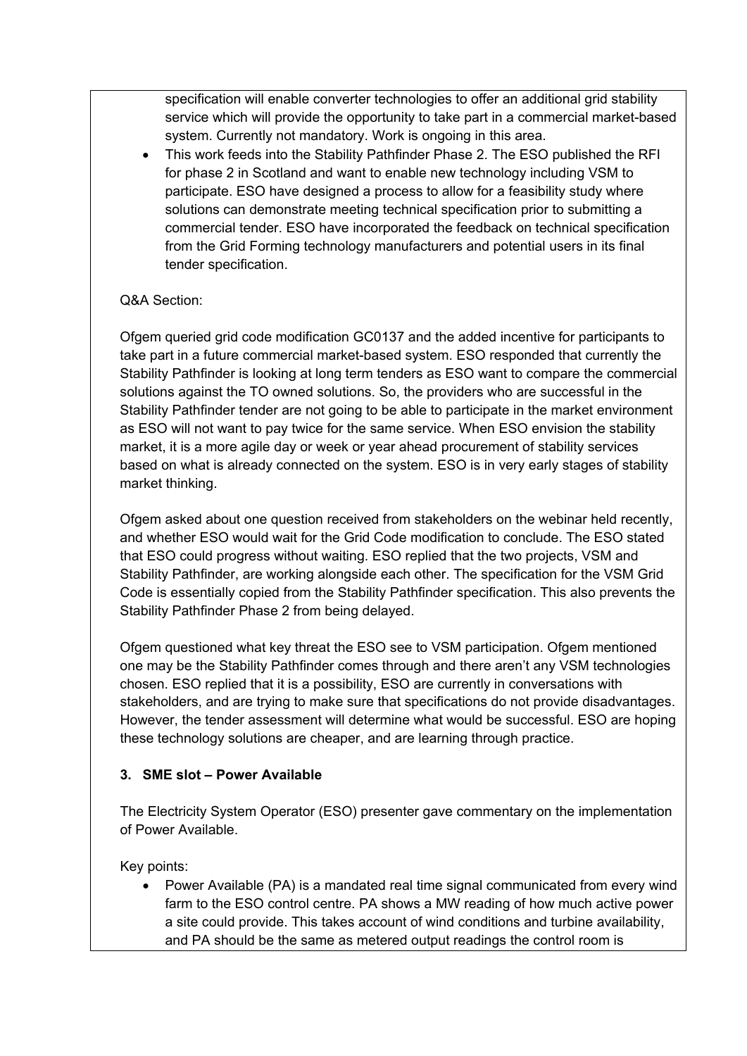specification will enable converter technologies to offer an additional grid stability service which will provide the opportunity to take part in a commercial market-based system. Currently not mandatory. Work is ongoing in this area.

• This work feeds into the Stability Pathfinder Phase 2. The ESO published the RFI for phase 2 in Scotland and want to enable new technology including VSM to participate. ESO have designed a process to allow for a feasibility study where solutions can demonstrate meeting technical specification prior to submitting a commercial tender. ESO have incorporated the feedback on technical specification from the Grid Forming technology manufacturers and potential users in its final tender specification.

### Q&A Section:

Ofgem queried grid code modification GC0137 and the added incentive for participants to take part in a future commercial market-based system. ESO responded that currently the Stability Pathfinder is looking at long term tenders as ESO want to compare the commercial solutions against the TO owned solutions. So, the providers who are successful in the Stability Pathfinder tender are not going to be able to participate in the market environment as ESO will not want to pay twice for the same service. When ESO envision the stability market, it is a more agile day or week or year ahead procurement of stability services based on what is already connected on the system. ESO is in very early stages of stability market thinking.

Ofgem asked about one question received from stakeholders on the webinar held recently, and whether ESO would wait for the Grid Code modification to conclude. The ESO stated that ESO could progress without waiting. ESO replied that the two projects, VSM and Stability Pathfinder, are working alongside each other. The specification for the VSM Grid Code is essentially copied from the Stability Pathfinder specification. This also prevents the Stability Pathfinder Phase 2 from being delayed.

Ofgem questioned what key threat the ESO see to VSM participation. Ofgem mentioned one may be the Stability Pathfinder comes through and there aren't any VSM technologies chosen. ESO replied that it is a possibility, ESO are currently in conversations with stakeholders, and are trying to make sure that specifications do not provide disadvantages. However, the tender assessment will determine what would be successful. ESO are hoping these technology solutions are cheaper, and are learning through practice.

### **3. SME slot – Power Available**

The Electricity System Operator (ESO) presenter gave commentary on the implementation of Power Available.

Key points:

• Power Available (PA) is a mandated real time signal communicated from every wind farm to the ESO control centre. PA shows a MW reading of how much active power a site could provide. This takes account of wind conditions and turbine availability, and PA should be the same as metered output readings the control room is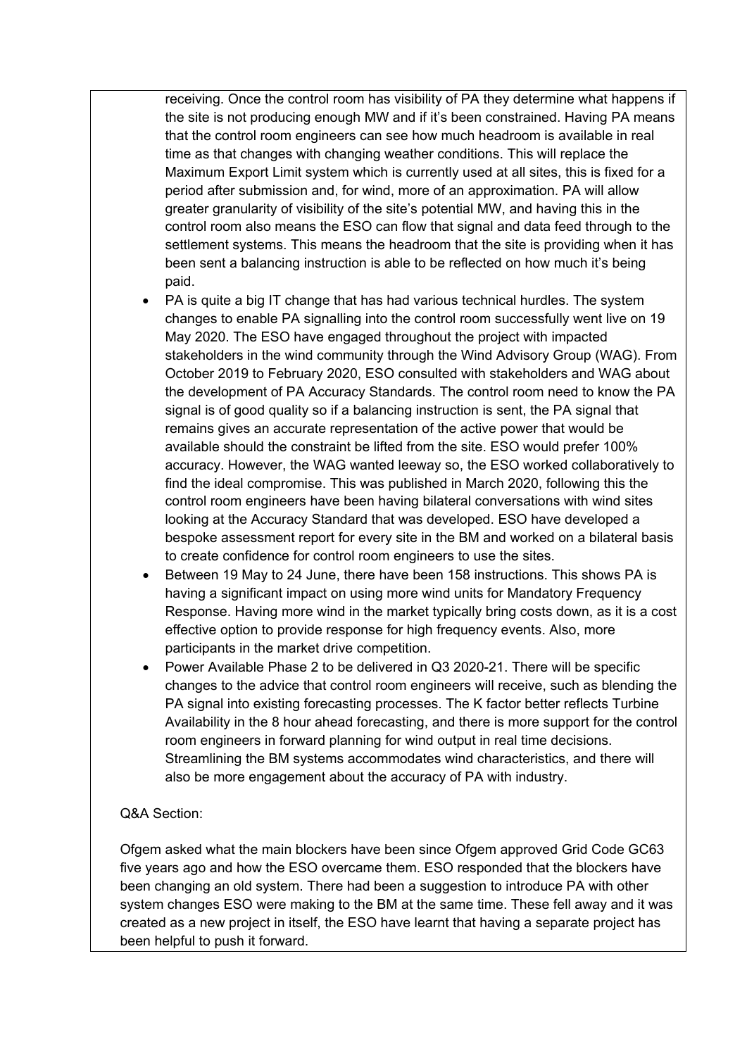receiving. Once the control room has visibility of PA they determine what happens if the site is not producing enough MW and if it's been constrained. Having PA means that the control room engineers can see how much headroom is available in real time as that changes with changing weather conditions. This will replace the Maximum Export Limit system which is currently used at all sites, this is fixed for a period after submission and, for wind, more of an approximation. PA will allow greater granularity of visibility of the site's potential MW, and having this in the control room also means the ESO can flow that signal and data feed through to the settlement systems. This means the headroom that the site is providing when it has been sent a balancing instruction is able to be reflected on how much it's being paid.

- PA is quite a big IT change that has had various technical hurdles. The system changes to enable PA signalling into the control room successfully went live on 19 May 2020. The ESO have engaged throughout the project with impacted stakeholders in the wind community through the Wind Advisory Group (WAG). From October 2019 to February 2020, ESO consulted with stakeholders and WAG about the development of PA Accuracy Standards. The control room need to know the PA signal is of good quality so if a balancing instruction is sent, the PA signal that remains gives an accurate representation of the active power that would be available should the constraint be lifted from the site. ESO would prefer 100% accuracy. However, the WAG wanted leeway so, the ESO worked collaboratively to find the ideal compromise. This was published in March 2020, following this the control room engineers have been having bilateral conversations with wind sites looking at the Accuracy Standard that was developed. ESO have developed a bespoke assessment report for every site in the BM and worked on a bilateral basis to create confidence for control room engineers to use the sites.
- Between 19 May to 24 June, there have been 158 instructions. This shows PA is having a significant impact on using more wind units for Mandatory Frequency Response. Having more wind in the market typically bring costs down, as it is a cost effective option to provide response for high frequency events. Also, more participants in the market drive competition.
- Power Available Phase 2 to be delivered in Q3 2020-21. There will be specific changes to the advice that control room engineers will receive, such as blending the PA signal into existing forecasting processes. The K factor better reflects Turbine Availability in the 8 hour ahead forecasting, and there is more support for the control room engineers in forward planning for wind output in real time decisions. Streamlining the BM systems accommodates wind characteristics, and there will also be more engagement about the accuracy of PA with industry.

### Q&A Section:

Ofgem asked what the main blockers have been since Ofgem approved Grid Code GC63 five years ago and how the ESO overcame them. ESO responded that the blockers have been changing an old system. There had been a suggestion to introduce PA with other system changes ESO were making to the BM at the same time. These fell away and it was created as a new project in itself, the ESO have learnt that having a separate project has been helpful to push it forward.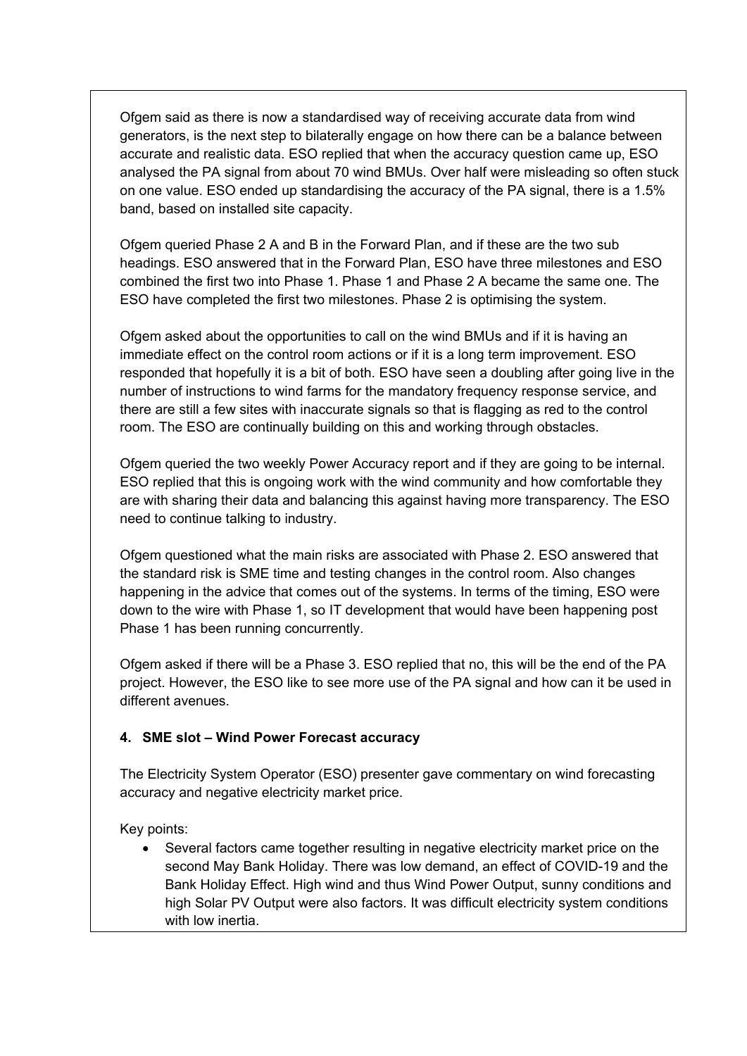Ofgem said as there is now a standardised way of receiving accurate data from wind generators, is the next step to bilaterally engage on how there can be a balance between accurate and realistic data. ESO replied that when the accuracy question came up, ESO analysed the PA signal from about 70 wind BMUs. Over half were misleading so often stuck on one value. ESO ended up standardising the accuracy of the PA signal, there is a 1.5% band, based on installed site capacity.

Ofgem queried Phase 2 A and B in the Forward Plan, and if these are the two sub headings. ESO answered that in the Forward Plan, ESO have three milestones and ESO combined the first two into Phase 1. Phase 1 and Phase 2 A became the same one. The ESO have completed the first two milestones. Phase 2 is optimising the system.

Ofgem asked about the opportunities to call on the wind BMUs and if it is having an immediate effect on the control room actions or if it is a long term improvement. ESO responded that hopefully it is a bit of both. ESO have seen a doubling after going live in the number of instructions to wind farms for the mandatory frequency response service, and there are still a few sites with inaccurate signals so that is flagging as red to the control room. The ESO are continually building on this and working through obstacles.

Ofgem queried the two weekly Power Accuracy report and if they are going to be internal. ESO replied that this is ongoing work with the wind community and how comfortable they are with sharing their data and balancing this against having more transparency. The ESO need to continue talking to industry.

Ofgem questioned what the main risks are associated with Phase 2. ESO answered that the standard risk is SME time and testing changes in the control room. Also changes happening in the advice that comes out of the systems. In terms of the timing, ESO were down to the wire with Phase 1, so IT development that would have been happening post Phase 1 has been running concurrently.

Ofgem asked if there will be a Phase 3. ESO replied that no, this will be the end of the PA project. However, the ESO like to see more use of the PA signal and how can it be used in different avenues.

### **4. SME slot – Wind Power Forecast accuracy**

The Electricity System Operator (ESO) presenter gave commentary on wind forecasting accuracy and negative electricity market price.

Key points:

• Several factors came together resulting in negative electricity market price on the second May Bank Holiday. There was low demand, an effect of COVID-19 and the Bank Holiday Effect. High wind and thus Wind Power Output, sunny conditions and high Solar PV Output were also factors. It was difficult electricity system conditions with low inertia.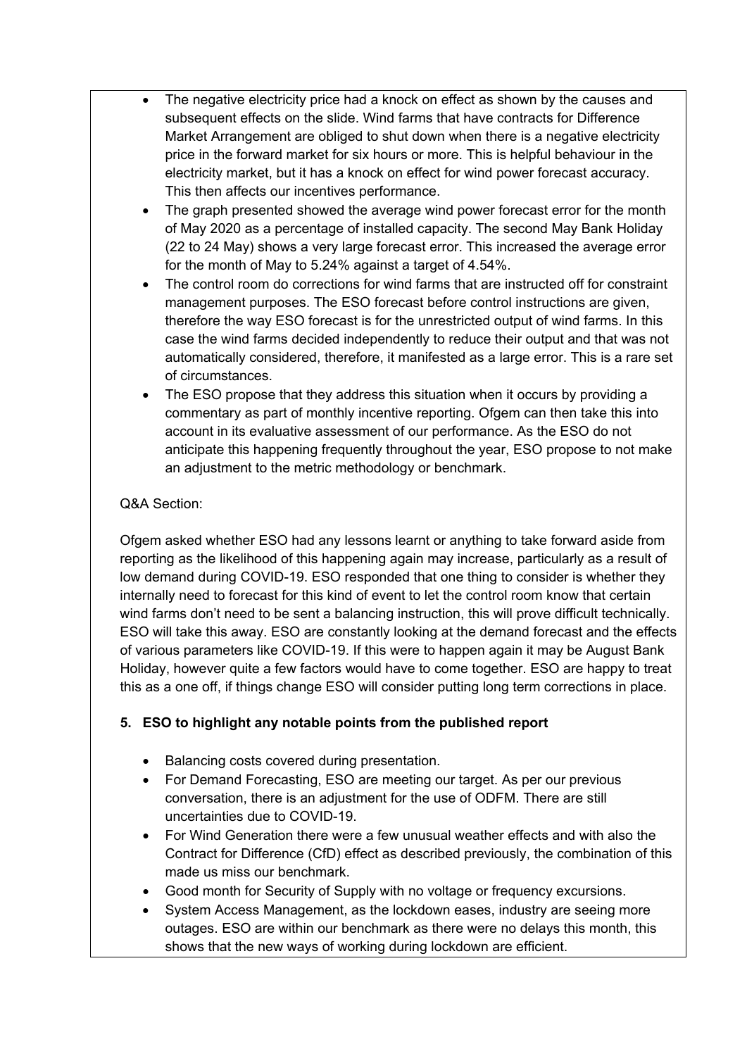- The negative electricity price had a knock on effect as shown by the causes and subsequent effects on the slide. Wind farms that have contracts for Difference Market Arrangement are obliged to shut down when there is a negative electricity price in the forward market for six hours or more. This is helpful behaviour in the electricity market, but it has a knock on effect for wind power forecast accuracy. This then affects our incentives performance.
- The graph presented showed the average wind power forecast error for the month of May 2020 as a percentage of installed capacity. The second May Bank Holiday (22 to 24 May) shows a very large forecast error. This increased the average error for the month of May to 5.24% against a target of 4.54%.
- The control room do corrections for wind farms that are instructed off for constraint management purposes. The ESO forecast before control instructions are given, therefore the way ESO forecast is for the unrestricted output of wind farms. In this case the wind farms decided independently to reduce their output and that was not automatically considered, therefore, it manifested as a large error. This is a rare set of circumstances.
- The ESO propose that they address this situation when it occurs by providing a commentary as part of monthly incentive reporting. Ofgem can then take this into account in its evaluative assessment of our performance. As the ESO do not anticipate this happening frequently throughout the year, ESO propose to not make an adjustment to the metric methodology or benchmark.

### Q&A Section:

Ofgem asked whether ESO had any lessons learnt or anything to take forward aside from reporting as the likelihood of this happening again may increase, particularly as a result of low demand during COVID-19. ESO responded that one thing to consider is whether they internally need to forecast for this kind of event to let the control room know that certain wind farms don't need to be sent a balancing instruction, this will prove difficult technically. ESO will take this away. ESO are constantly looking at the demand forecast and the effects of various parameters like COVID-19. If this were to happen again it may be August Bank Holiday, however quite a few factors would have to come together. ESO are happy to treat this as a one off, if things change ESO will consider putting long term corrections in place.

# **5. ESO to highlight any notable points from the published report**

- Balancing costs covered during presentation.
- For Demand Forecasting, ESO are meeting our target. As per our previous conversation, there is an adjustment for the use of ODFM. There are still uncertainties due to COVID-19.
- For Wind Generation there were a few unusual weather effects and with also the Contract for Difference (CfD) effect as described previously, the combination of this made us miss our benchmark.
- Good month for Security of Supply with no voltage or frequency excursions.
- System Access Management, as the lockdown eases, industry are seeing more outages. ESO are within our benchmark as there were no delays this month, this shows that the new ways of working during lockdown are efficient.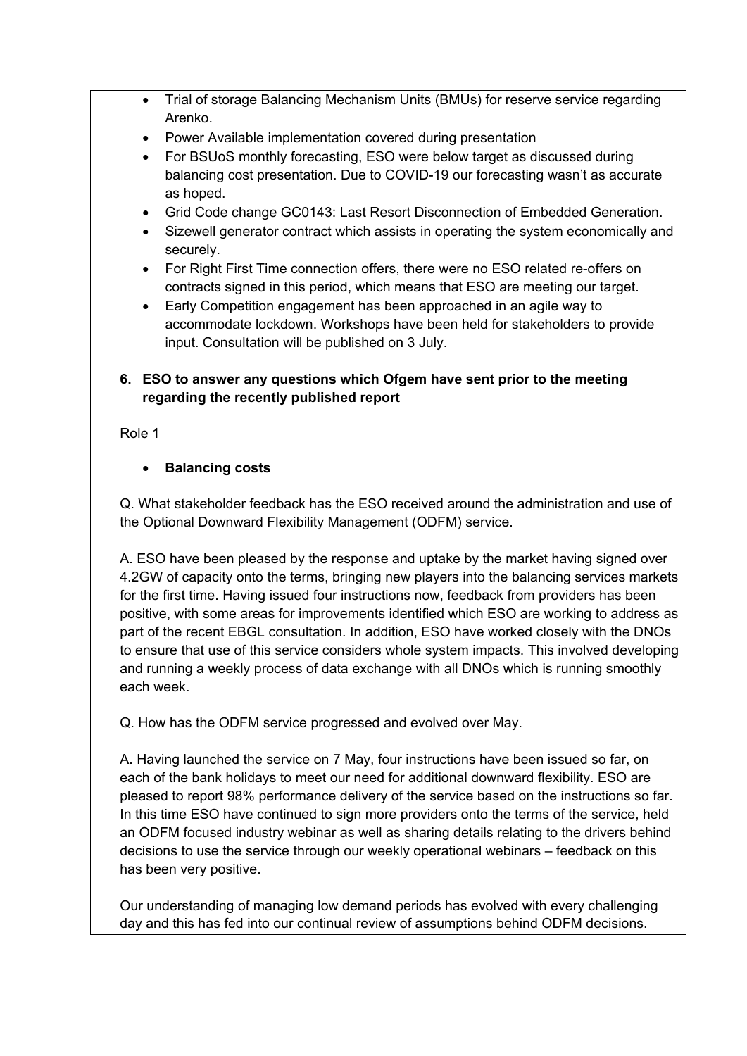- Trial of storage Balancing Mechanism Units (BMUs) for reserve service regarding Arenko.
- Power Available implementation covered during presentation
- For BSUoS monthly forecasting, ESO were below target as discussed during balancing cost presentation. Due to COVID-19 our forecasting wasn't as accurate as hoped.
- Grid Code change GC0143: Last Resort Disconnection of Embedded Generation.
- Sizewell generator contract which assists in operating the system economically and securely.
- For Right First Time connection offers, there were no ESO related re-offers on contracts signed in this period, which means that ESO are meeting our target.
- Early Competition engagement has been approached in an agile way to accommodate lockdown. Workshops have been held for stakeholders to provide input. Consultation will be published on 3 July.

# **6. ESO to answer any questions which Ofgem have sent prior to the meeting regarding the recently published report**

Role 1

# • **Balancing costs**

Q. What stakeholder feedback has the ESO received around the administration and use of the Optional Downward Flexibility Management (ODFM) service.

A. ESO have been pleased by the response and uptake by the market having signed over 4.2GW of capacity onto the terms, bringing new players into the balancing services markets for the first time. Having issued four instructions now, feedback from providers has been positive, with some areas for improvements identified which ESO are working to address as part of the recent EBGL consultation. In addition, ESO have worked closely with the DNOs to ensure that use of this service considers whole system impacts. This involved developing and running a weekly process of data exchange with all DNOs which is running smoothly each week.

Q. How has the ODFM service progressed and evolved over May.

A. Having launched the service on 7 May, four instructions have been issued so far, on each of the bank holidays to meet our need for additional downward flexibility. ESO are pleased to report 98% performance delivery of the service based on the instructions so far. In this time ESO have continued to sign more providers onto the terms of the service, held an ODFM focused industry webinar as well as sharing details relating to the drivers behind decisions to use the service through our weekly operational webinars – feedback on this has been very positive.

Our understanding of managing low demand periods has evolved with every challenging day and this has fed into our continual review of assumptions behind ODFM decisions.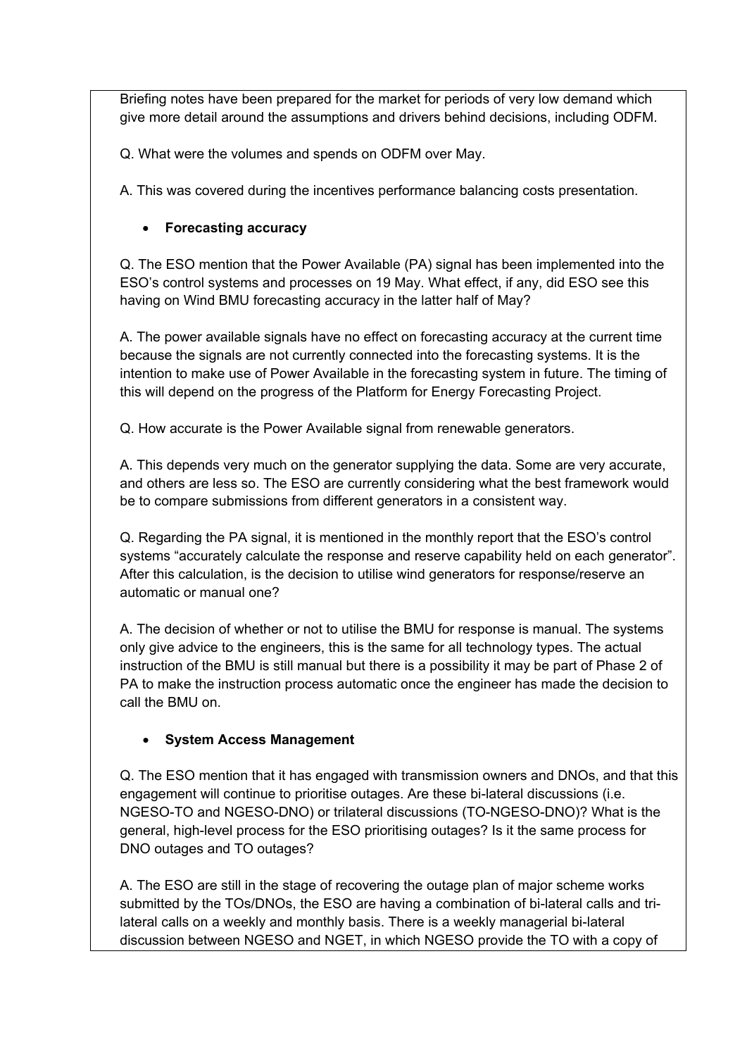Briefing notes have been prepared for the market for periods of very low demand which give more detail around the assumptions and drivers behind decisions, including ODFM.

Q. What were the volumes and spends on ODFM over May.

A. This was covered during the incentives performance balancing costs presentation.

## • **Forecasting accuracy**

Q. The ESO mention that the Power Available (PA) signal has been implemented into the ESO's control systems and processes on 19 May. What effect, if any, did ESO see this having on Wind BMU forecasting accuracy in the latter half of May?

A. The power available signals have no effect on forecasting accuracy at the current time because the signals are not currently connected into the forecasting systems. It is the intention to make use of Power Available in the forecasting system in future. The timing of this will depend on the progress of the Platform for Energy Forecasting Project.

Q. How accurate is the Power Available signal from renewable generators.

A. This depends very much on the generator supplying the data. Some are very accurate, and others are less so. The ESO are currently considering what the best framework would be to compare submissions from different generators in a consistent way.

Q. Regarding the PA signal, it is mentioned in the monthly report that the ESO's control systems "accurately calculate the response and reserve capability held on each generator". After this calculation, is the decision to utilise wind generators for response/reserve an automatic or manual one?

A. The decision of whether or not to utilise the BMU for response is manual. The systems only give advice to the engineers, this is the same for all technology types. The actual instruction of the BMU is still manual but there is a possibility it may be part of Phase 2 of PA to make the instruction process automatic once the engineer has made the decision to call the BMU on.

# • **System Access Management**

Q. The ESO mention that it has engaged with transmission owners and DNOs, and that this engagement will continue to prioritise outages. Are these bi-lateral discussions (i.e. NGESO-TO and NGESO-DNO) or trilateral discussions (TO-NGESO-DNO)? What is the general, high-level process for the ESO prioritising outages? Is it the same process for DNO outages and TO outages?

A. The ESO are still in the stage of recovering the outage plan of major scheme works submitted by the TOs/DNOs, the ESO are having a combination of bi-lateral calls and trilateral calls on a weekly and monthly basis. There is a weekly managerial bi-lateral discussion between NGESO and NGET, in which NGESO provide the TO with a copy of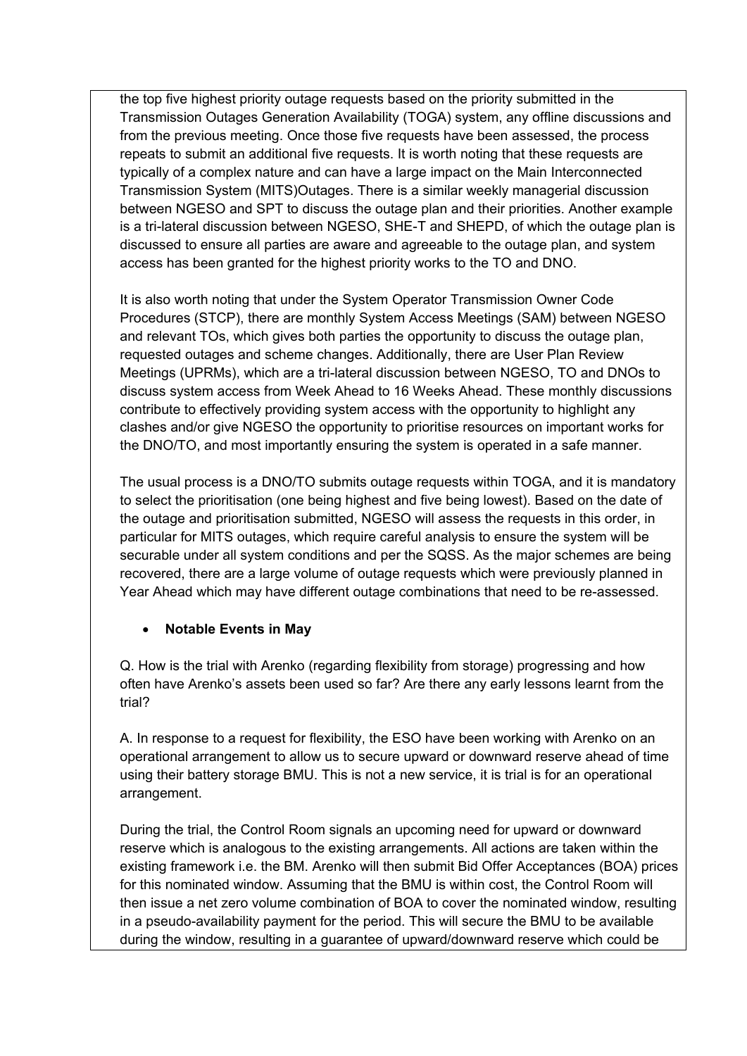the top five highest priority outage requests based on the priority submitted in the Transmission Outages Generation Availability (TOGA) system, any offline discussions and from the previous meeting. Once those five requests have been assessed, the process repeats to submit an additional five requests. It is worth noting that these requests are typically of a complex nature and can have a large impact on the Main Interconnected Transmission System (MITS)Outages. There is a similar weekly managerial discussion between NGESO and SPT to discuss the outage plan and their priorities. Another example is a tri-lateral discussion between NGESO, SHE-T and SHEPD, of which the outage plan is discussed to ensure all parties are aware and agreeable to the outage plan, and system access has been granted for the highest priority works to the TO and DNO.

It is also worth noting that under the System Operator Transmission Owner Code Procedures (STCP), there are monthly System Access Meetings (SAM) between NGESO and relevant TOs, which gives both parties the opportunity to discuss the outage plan, requested outages and scheme changes. Additionally, there are User Plan Review Meetings (UPRMs), which are a tri-lateral discussion between NGESO, TO and DNOs to discuss system access from Week Ahead to 16 Weeks Ahead. These monthly discussions contribute to effectively providing system access with the opportunity to highlight any clashes and/or give NGESO the opportunity to prioritise resources on important works for the DNO/TO, and most importantly ensuring the system is operated in a safe manner.

The usual process is a DNO/TO submits outage requests within TOGA, and it is mandatory to select the prioritisation (one being highest and five being lowest). Based on the date of the outage and prioritisation submitted, NGESO will assess the requests in this order, in particular for MITS outages, which require careful analysis to ensure the system will be securable under all system conditions and per the SQSS. As the major schemes are being recovered, there are a large volume of outage requests which were previously planned in Year Ahead which may have different outage combinations that need to be re-assessed.

### • **Notable Events in May**

Q. How is the trial with Arenko (regarding flexibility from storage) progressing and how often have Arenko's assets been used so far? Are there any early lessons learnt from the trial?

A. In response to a request for flexibility, the ESO have been working with Arenko on an operational arrangement to allow us to secure upward or downward reserve ahead of time using their battery storage BMU. This is not a new service, it is trial is for an operational arrangement.

During the trial, the Control Room signals an upcoming need for upward or downward reserve which is analogous to the existing arrangements. All actions are taken within the existing framework i.e. the BM. Arenko will then submit Bid Offer Acceptances (BOA) prices for this nominated window. Assuming that the BMU is within cost, the Control Room will then issue a net zero volume combination of BOA to cover the nominated window, resulting in a pseudo-availability payment for the period. This will secure the BMU to be available during the window, resulting in a guarantee of upward/downward reserve which could be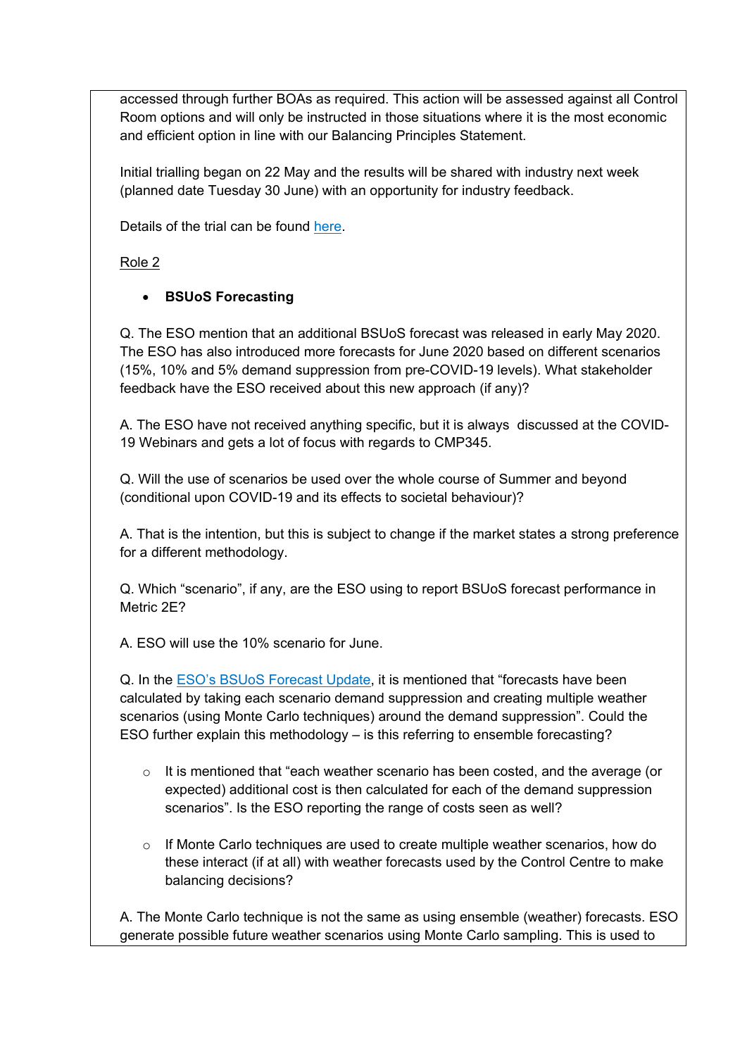accessed through further BOAs as required. This action will be assessed against all Control Room options and will only be instructed in those situations where it is the most economic and efficient option in line with our Balancing Principles Statement.

Initial trialling began on 22 May and the results will be shared with industry next week (planned date Tuesday 30 June) with an opportunity for industry feedback.

Details of the trial can be found [here.](https://data.nationalgrideso.com/plans-reports-analysis/covid-19-preparedness-materials/r/industry_letter_-_reserve_service_from_storage_in_the_bm_trial)

Role 2

# • **BSUoS Forecasting**

Q. The ESO mention that an additional BSUoS forecast was released in early May 2020. The ESO has also introduced more forecasts for June 2020 based on different scenarios (15%, 10% and 5% demand suppression from pre-COVID-19 levels). What stakeholder feedback have the ESO received about this new approach (if any)?

A. The ESO have not received anything specific, but it is always discussed at the COVID-19 Webinars and gets a lot of focus with regards to CMP345.

Q. Will the use of scenarios be used over the whole course of Summer and beyond (conditional upon COVID-19 and its effects to societal behaviour)?

A. That is the intention, but this is subject to change if the market states a strong preference for a different methodology.

Q. Which "scenario", if any, are the ESO using to report BSUoS forecast performance in Metric 2E?

A. ESO will use the 10% scenario for June.

Q. In the [ESO's BSUoS Forecast Update,](https://data.nationalgrideso.com/backend/dataset/c0376ed7-3205-4fe2-9496-28496f1f287a/resource/1234299c-49a4-4a92-ba33-358c25357620/download/bsuos-forecast-explained-update.pdf) it is mentioned that "forecasts have been calculated by taking each scenario demand suppression and creating multiple weather scenarios (using Monte Carlo techniques) around the demand suppression". Could the ESO further explain this methodology – is this referring to ensemble forecasting?

- $\circ$  It is mentioned that "each weather scenario has been costed, and the average (or expected) additional cost is then calculated for each of the demand suppression scenarios". Is the ESO reporting the range of costs seen as well?
- $\circ$  If Monte Carlo techniques are used to create multiple weather scenarios, how do these interact (if at all) with weather forecasts used by the Control Centre to make balancing decisions?

A. The Monte Carlo technique is not the same as using ensemble (weather) forecasts. ESO generate possible future weather scenarios using Monte Carlo sampling. This is used to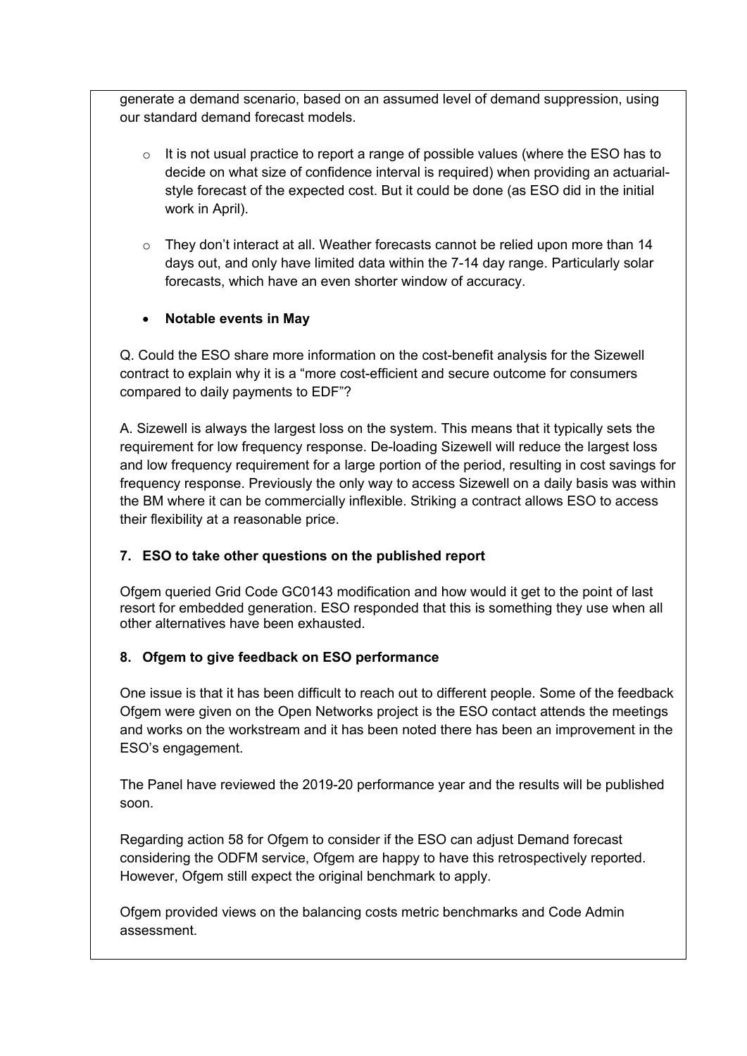generate a demand scenario, based on an assumed level of demand suppression, using our standard demand forecast models.

- $\circ$  It is not usual practice to report a range of possible values (where the ESO has to decide on what size of confidence interval is required) when providing an actuarialstyle forecast of the expected cost. But it could be done (as ESO did in the initial work in April).
- $\circ$  They don't interact at all. Weather forecasts cannot be relied upon more than 14 days out, and only have limited data within the 7-14 day range. Particularly solar forecasts, which have an even shorter window of accuracy.

### • **Notable events in May**

Q. Could the ESO share more information on the cost-benefit analysis for the Sizewell contract to explain why it is a "more cost-efficient and secure outcome for consumers compared to daily payments to EDF"?

A. Sizewell is always the largest loss on the system. This means that it typically sets the requirement for low frequency response. De-loading Sizewell will reduce the largest loss and low frequency requirement for a large portion of the period, resulting in cost savings for frequency response. Previously the only way to access Sizewell on a daily basis was within the BM where it can be commercially inflexible. Striking a contract allows ESO to access their flexibility at a reasonable price.

# **7. ESO to take other questions on the published report**

Ofgem queried Grid Code GC0143 modification and how would it get to the point of last resort for embedded generation. ESO responded that this is something they use when all other alternatives have been exhausted.

# **8. Ofgem to give feedback on ESO performance**

One issue is that it has been difficult to reach out to different people. Some of the feedback Ofgem were given on the Open Networks project is the ESO contact attends the meetings and works on the workstream and it has been noted there has been an improvement in the ESO's engagement.

The Panel have reviewed the 2019-20 performance year and the results will be published soon.

Regarding action 58 for Ofgem to consider if the ESO can adjust Demand forecast considering the ODFM service, Ofgem are happy to have this retrospectively reported. However, Ofgem still expect the original benchmark to apply.

Ofgem provided views on the balancing costs metric benchmarks and Code Admin assessment.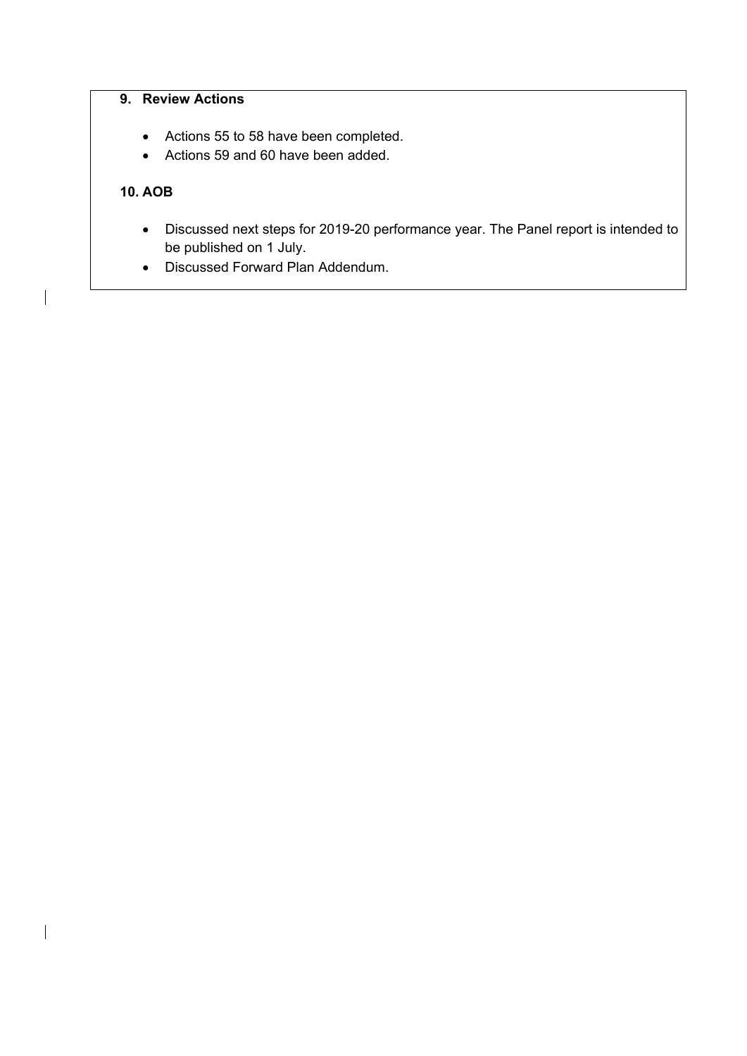# **9. Review Actions**

- Actions 55 to 58 have been completed.
- Actions 59 and 60 have been added.

### **10. AOB**

- Discussed next steps for 2019-20 performance year. The Panel report is intended to be published on 1 July.
- Discussed Forward Plan Addendum.